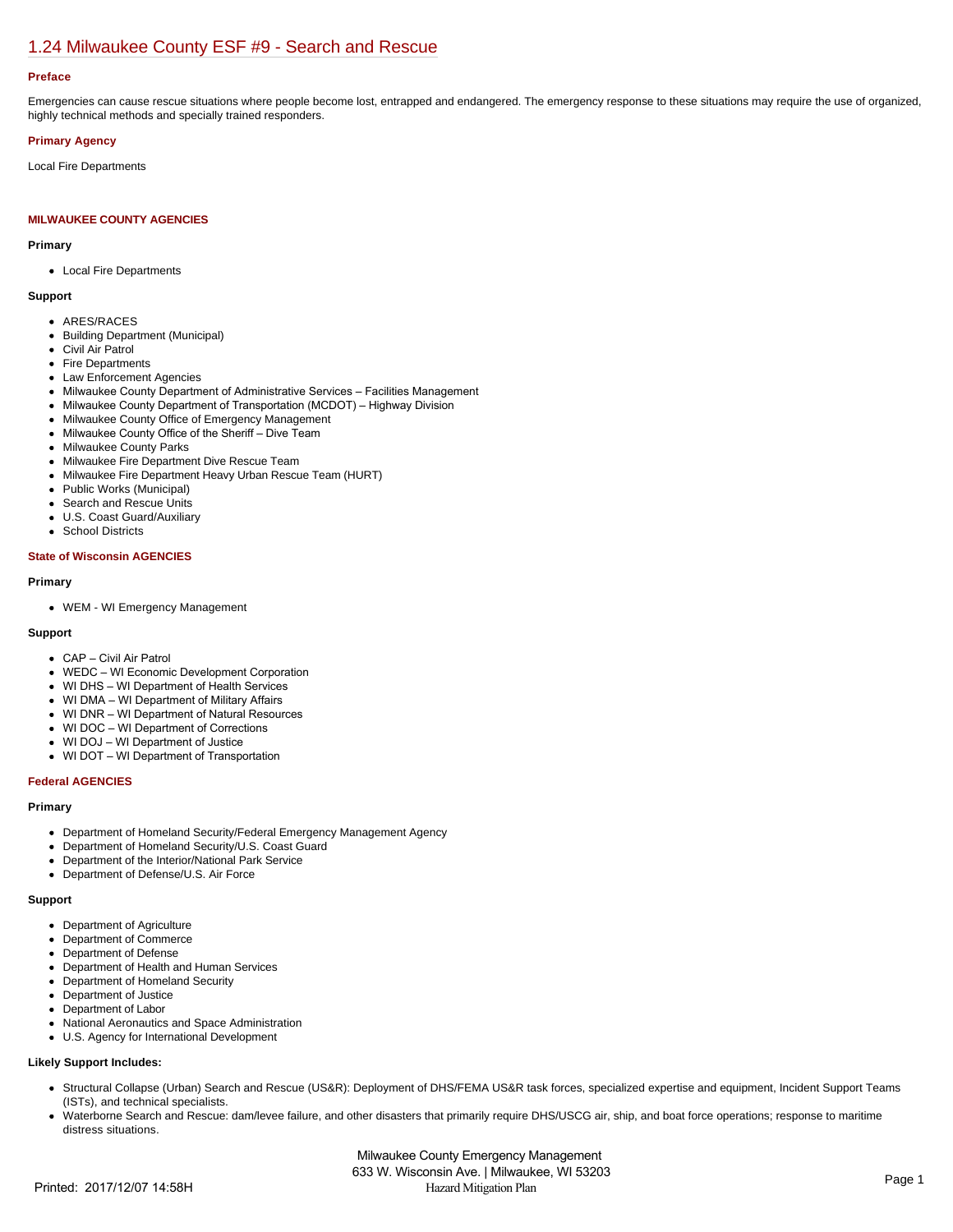# [1.24 Milwaukee County ESF #9 - Search and Rescue](https://milwaukeecounty.isc-cemp.com/Cemp/Details?id=5805899)

## **Preface**

Emergencies can cause rescue situations where people become lost, entrapped and endangered. The emergency response to these situations may require the use of organized, highly technical methods and specially trained responders.

## **Primary Agency**

Local Fire Departments

## **MILWAUKEE COUNTY AGENCIES**

## **Primary**

Local Fire Departments

## **Support**

- ARES/RACES
- Building Department (Municipal)
- Civil Air Patrol
- Fire Departments
- Law Enforcement Agencies
- Milwaukee County Department of Administrative Services Facilities Management
- Milwaukee County Department of Transportation (MCDOT) Highway Division
- Milwaukee County Office of Emergency Management
- Milwaukee County Office of the Sheriff Dive Team
- Milwaukee County Parks
- Milwaukee Fire Department Dive Rescue Team
- Milwaukee Fire Department Heavy Urban Rescue Team (HURT)
- Public Works (Municipal)
- $\bullet$ Search and Rescue Units
- U.S. Coast Guard/Auxiliary
- School Districts  $\bullet$

#### **State of Wisconsin AGENCIES**

#### **Primary**

WEM - WI Emergency Management

#### **Support**

- CAP Civil Air Patrol
- WEDC WI Economic Development Corporation
- WI DHS WI Department of Health Services
- WI DMA WI Department of Military Affairs
- WI DNR WI Department of Natural Resources
- WI DOC WI Department of Corrections
- WI DOJ WI Department of Justice
- WI DOT WI Department of Transportation

## **Federal AGENCIES**

#### **Primary**

- Department of Homeland Security/Federal Emergency Management Agency
- Department of Homeland Security/U.S. Coast Guard
- Department of the Interior/National Park Service
- Department of Defense/U.S. Air Force

## **Support**

- Department of Agriculture
- Department of Commerce  $\bullet$
- Department of Defense
- Department of Health and Human Services
- Department of Homeland Security
- $\bullet$ Department of Justice
- Department of Labor
- National Aeronautics and Space Administration
- U.S. Agency for International Development  $\bullet$

## **Likely Support Includes:**

- Structural Collapse (Urban) Search and Rescue (US&R): Deployment of DHS/FEMA US&R task forces, specialized expertise and equipment, Incident Support Teams (ISTs), and technical specialists.
- Waterborne Search and Rescue: dam/levee failure, and other disasters that primarily require DHS/USCG air, ship, and boat force operations; response to maritime distress situations.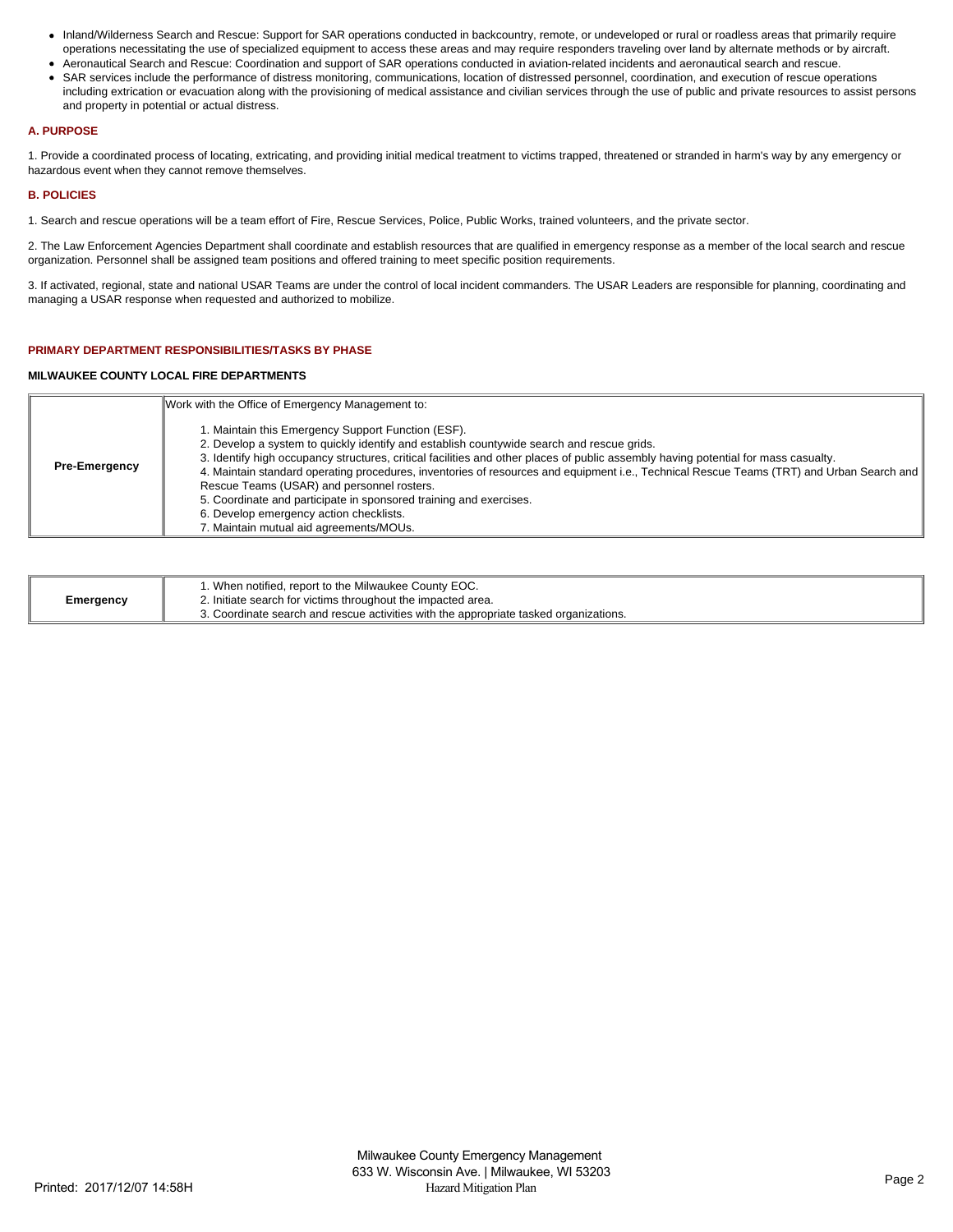- Inland/Wilderness Search and Rescue: Support for SAR operations conducted in backcountry, remote, or undeveloped or rural or roadless areas that primarily require operations necessitating the use of specialized equipment to access these areas and may require responders traveling over land by alternate methods or by aircraft.
- Aeronautical Search and Rescue: Coordination and support of SAR operations conducted in aviation-related incidents and aeronautical search and rescue. SAR services include the performance of distress monitoring, communications, location of distressed personnel, coordination, and execution of rescue operations
- including extrication or evacuation along with the provisioning of medical assistance and civilian services through the use of public and private resources to assist persons and property in potential or actual distress.

#### **A. PURPOSE**

1. Provide a coordinated process of locating, extricating, and providing initial medical treatment to victims trapped, threatened or stranded in harm's way by any emergency or hazardous event when they cannot remove themselves.

## **B. POLICIES**

1. Search and rescue operations will be a team effort of Fire, Rescue Services, Police, Public Works, trained volunteers, and the private sector.

2. The Law Enforcement Agencies Department shall coordinate and establish resources that are qualified in emergency response as a member of the local search and rescue organization. Personnel shall be assigned team positions and offered training to meet specific position requirements.

3. If activated, regional, state and national USAR Teams are under the control of local incident commanders. The USAR Leaders are responsible for planning, coordinating and managing a USAR response when requested and authorized to mobilize.

## **PRIMARY DEPARTMENT RESPONSIBILITIES/TASKS BY PHASE**

## **MILWAUKEE COUNTY LOCAL FIRE DEPARTMENTS**

|                      | Work with the Office of Emergency Management to:<br>1. Maintain this Emergency Support Function (ESF).<br>2. Develop a system to quickly identify and establish countywide search and rescue grids.                                                                                                                                                                                                                                                                                       |
|----------------------|-------------------------------------------------------------------------------------------------------------------------------------------------------------------------------------------------------------------------------------------------------------------------------------------------------------------------------------------------------------------------------------------------------------------------------------------------------------------------------------------|
| <b>Pre-Emergency</b> | 3. Identify high occupancy structures, critical facilities and other places of public assembly having potential for mass casualty.<br>4. Maintain standard operating procedures, inventories of resources and equipment i.e., Technical Rescue Teams (TRT) and Urban Search and<br>Rescue Teams (USAR) and personnel rosters.<br>5. Coordinate and participate in sponsored training and exercises.<br>6. Develop emergency action checklists.<br>7. Maintain mutual aid agreements/MOUs. |

| Emergency | 1. When notified, report to the Milwaukee County EOC.<br>2. Initiate search for victims throughout the impacted area. |
|-----------|-----------------------------------------------------------------------------------------------------------------------|
|           | 3. Coordinate search and rescue activities with the appropriate tasked organizations.                                 |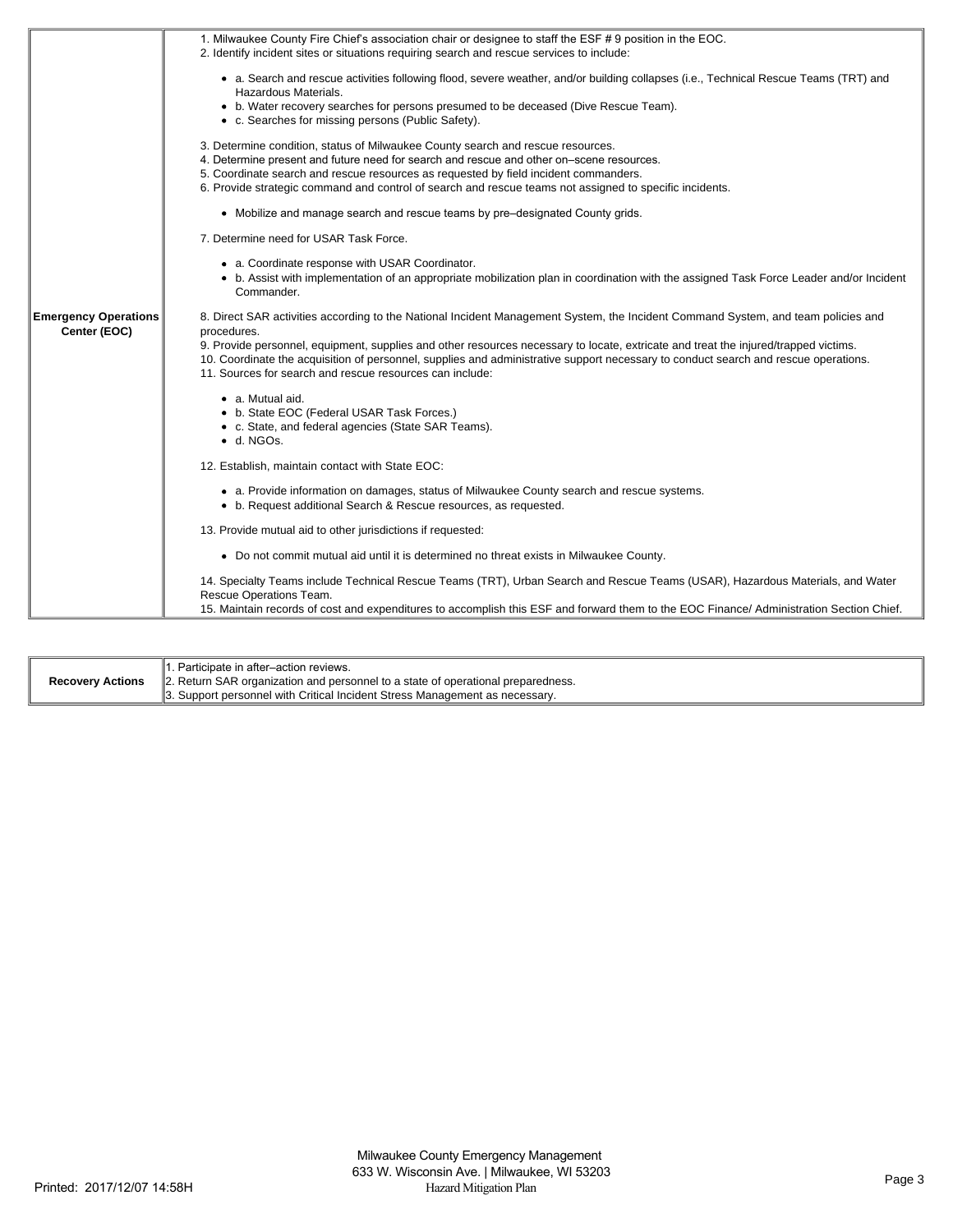|                                             | 1. Milwaukee County Fire Chief's association chair or designee to staff the ESF #9 position in the EOC.<br>2. Identify incident sites or situations requiring search and rescue services to include:                                                                                                                                   |
|---------------------------------------------|----------------------------------------------------------------------------------------------------------------------------------------------------------------------------------------------------------------------------------------------------------------------------------------------------------------------------------------|
|                                             | • a. Search and rescue activities following flood, severe weather, and/or building collapses (i.e., Technical Rescue Teams (TRT) and<br>Hazardous Materials.<br>• b. Water recovery searches for persons presumed to be deceased (Dive Rescue Team).                                                                                   |
|                                             | • c. Searches for missing persons (Public Safety).                                                                                                                                                                                                                                                                                     |
|                                             | 3. Determine condition, status of Milwaukee County search and rescue resources.<br>4. Determine present and future need for search and rescue and other on-scene resources.                                                                                                                                                            |
|                                             | 5. Coordinate search and rescue resources as requested by field incident commanders.<br>6. Provide strategic command and control of search and rescue teams not assigned to specific incidents.                                                                                                                                        |
|                                             | • Mobilize and manage search and rescue teams by pre-designated County grids.                                                                                                                                                                                                                                                          |
|                                             | 7. Determine need for USAR Task Force.                                                                                                                                                                                                                                                                                                 |
|                                             | • a. Coordinate response with USAR Coordinator.                                                                                                                                                                                                                                                                                        |
|                                             | • b. Assist with implementation of an appropriate mobilization plan in coordination with the assigned Task Force Leader and/or Incident<br>Commander.                                                                                                                                                                                  |
| <b>Emergency Operations</b><br>Center (EOC) | 8. Direct SAR activities according to the National Incident Management System, the Incident Command System, and team policies and<br>procedures.                                                                                                                                                                                       |
|                                             | 9. Provide personnel, equipment, supplies and other resources necessary to locate, extricate and treat the injured/trapped victims.<br>10. Coordinate the acquisition of personnel, supplies and administrative support necessary to conduct search and rescue operations.<br>11. Sources for search and rescue resources can include: |
|                                             | • a. Mutual aid.                                                                                                                                                                                                                                                                                                                       |
|                                             | • b. State EOC (Federal USAR Task Forces.)<br>• c. State, and federal agencies (State SAR Teams).                                                                                                                                                                                                                                      |
|                                             | $\bullet$ d. NGOs.                                                                                                                                                                                                                                                                                                                     |
|                                             | 12. Establish, maintain contact with State EOC:                                                                                                                                                                                                                                                                                        |
|                                             | • a. Provide information on damages, status of Milwaukee County search and rescue systems.<br>• b. Request additional Search & Rescue resources, as requested.                                                                                                                                                                         |
|                                             | 13. Provide mutual aid to other jurisdictions if requested:                                                                                                                                                                                                                                                                            |
|                                             | • Do not commit mutual aid until it is determined no threat exists in Milwaukee County.                                                                                                                                                                                                                                                |
|                                             | 14. Specialty Teams include Technical Rescue Teams (TRT), Urban Search and Rescue Teams (USAR), Hazardous Materials, and Water<br>Rescue Operations Team.                                                                                                                                                                              |
|                                             | 15. Maintain records of cost and expenditures to accomplish this ESF and forward them to the EOC Finance/ Administration Section Chief.                                                                                                                                                                                                |

| <b>Recovery Actions</b> | 1. Participate in after-action reviews.                                          |
|-------------------------|----------------------------------------------------------------------------------|
|                         | 2. Return SAR organization and personnel to a state of operational preparedness. |
|                         | 3. Support personnel with Critical Incident Stress Management as necessary.      |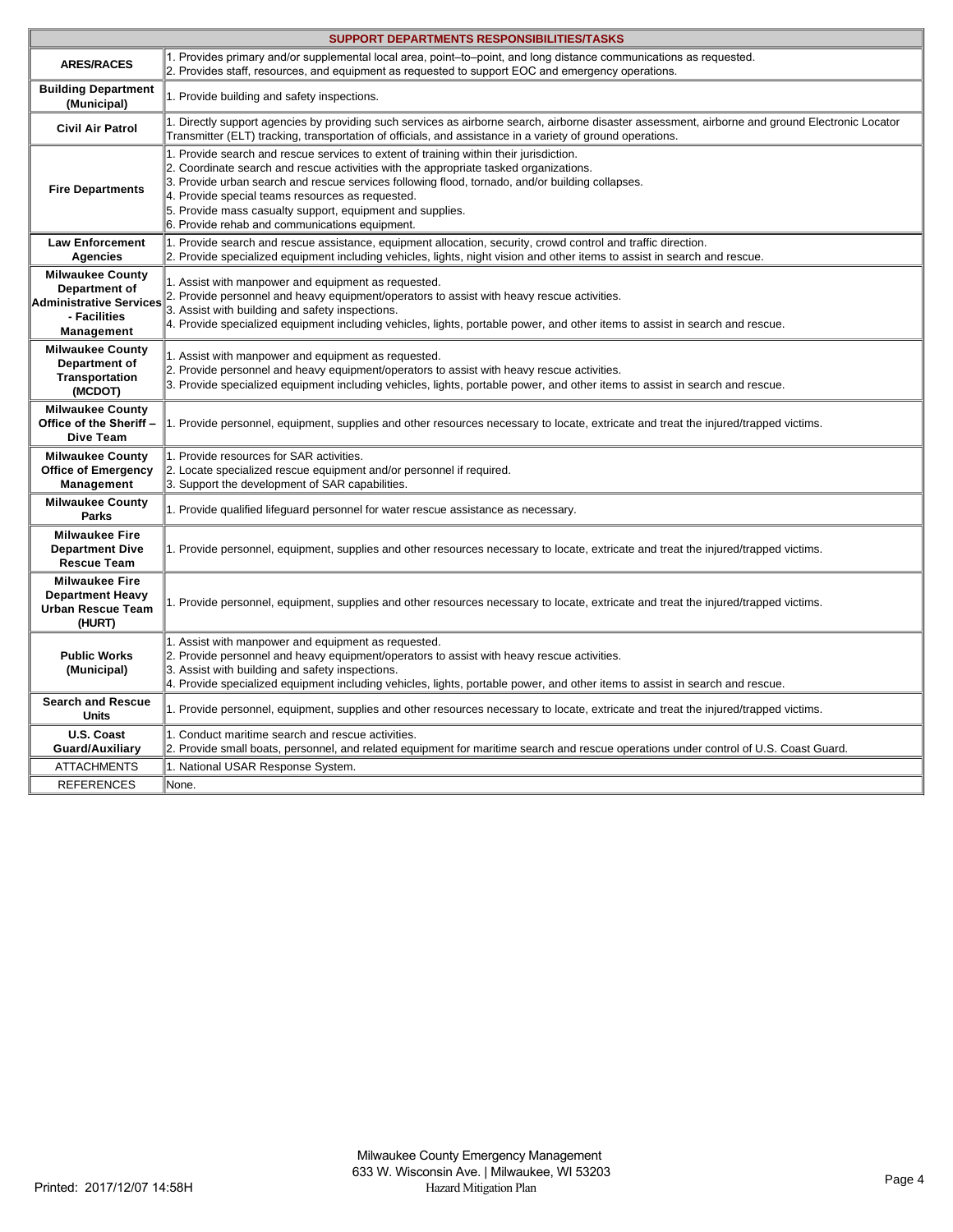| <b>SUPPORT DEPARTMENTS RESPONSIBILITIES/TASKS</b>                                                        |                                                                                                                                                                                                                                                                                                                                                                                                                                                        |  |
|----------------------------------------------------------------------------------------------------------|--------------------------------------------------------------------------------------------------------------------------------------------------------------------------------------------------------------------------------------------------------------------------------------------------------------------------------------------------------------------------------------------------------------------------------------------------------|--|
| <b>ARES/RACES</b>                                                                                        | 1. Provides primary and/or supplemental local area, point-to-point, and long distance communications as requested.<br>2. Provides staff, resources, and equipment as requested to support EOC and emergency operations.                                                                                                                                                                                                                                |  |
| <b>Building Department</b><br>(Municipal)                                                                | 1. Provide building and safety inspections.                                                                                                                                                                                                                                                                                                                                                                                                            |  |
| <b>Civil Air Patrol</b>                                                                                  | 1. Directly support agencies by providing such services as airborne search, airborne disaster assessment, airborne and ground Electronic Locator<br>Transmitter (ELT) tracking, transportation of officials, and assistance in a variety of ground operations.                                                                                                                                                                                         |  |
| <b>Fire Departments</b>                                                                                  | 1. Provide search and rescue services to extent of training within their jurisdiction.<br>2. Coordinate search and rescue activities with the appropriate tasked organizations.<br>3. Provide urban search and rescue services following flood, tornado, and/or building collapses.<br>4. Provide special teams resources as requested.<br>5. Provide mass casualty support, equipment and supplies.<br>6. Provide rehab and communications equipment. |  |
| <b>Law Enforcement</b><br><b>Agencies</b>                                                                | 1. Provide search and rescue assistance, equipment allocation, security, crowd control and traffic direction.<br>2. Provide specialized equipment including vehicles, lights, night vision and other items to assist in search and rescue.                                                                                                                                                                                                             |  |
| <b>Milwaukee County</b><br>Department of<br>Administrative Services<br>- Facilities<br><b>Management</b> | 1. Assist with manpower and equipment as requested.<br>2. Provide personnel and heavy equipment/operators to assist with heavy rescue activities.<br>3. Assist with building and safety inspections.<br>4. Provide specialized equipment including vehicles, lights, portable power, and other items to assist in search and rescue.                                                                                                                   |  |
| <b>Milwaukee County</b><br>Department of<br>Transportation<br>(MCDOT)                                    | 1. Assist with manpower and equipment as requested.<br>2. Provide personnel and heavy equipment/operators to assist with heavy rescue activities.<br>3. Provide specialized equipment including vehicles, lights, portable power, and other items to assist in search and rescue.                                                                                                                                                                      |  |
| <b>Milwaukee County</b><br>Office of the Sheriff -<br>Dive Team                                          | 1. Provide personnel, equipment, supplies and other resources necessary to locate, extricate and treat the injured/trapped victims.                                                                                                                                                                                                                                                                                                                    |  |
| <b>Milwaukee County</b><br><b>Office of Emergency</b><br>Management                                      | 1. Provide resources for SAR activities.<br>2. Locate specialized rescue equipment and/or personnel if required.<br>3. Support the development of SAR capabilities.                                                                                                                                                                                                                                                                                    |  |
| <b>Milwaukee County</b><br><b>Parks</b>                                                                  | 1. Provide qualified lifeguard personnel for water rescue assistance as necessary.                                                                                                                                                                                                                                                                                                                                                                     |  |
| <b>Milwaukee Fire</b><br><b>Department Dive</b><br><b>Rescue Team</b>                                    | 1. Provide personnel, equipment, supplies and other resources necessary to locate, extricate and treat the injured/trapped victims.                                                                                                                                                                                                                                                                                                                    |  |
| <b>Milwaukee Fire</b><br><b>Department Heavy</b><br><b>Urban Rescue Team</b><br>(HURT)                   | 1. Provide personnel, equipment, supplies and other resources necessary to locate, extricate and treat the injured/trapped victims.                                                                                                                                                                                                                                                                                                                    |  |
| <b>Public Works</b><br>(Municipal)                                                                       | 1. Assist with manpower and equipment as requested.<br>2. Provide personnel and heavy equipment/operators to assist with heavy rescue activities.<br>3. Assist with building and safety inspections.<br>4. Provide specialized equipment including vehicles, lights, portable power, and other items to assist in search and rescue.                                                                                                                   |  |
| <b>Search and Rescue</b><br><b>Units</b>                                                                 | 1. Provide personnel, equipment, supplies and other resources necessary to locate, extricate and treat the injured/trapped victims.                                                                                                                                                                                                                                                                                                                    |  |
| U.S. Coast<br><b>Guard/Auxiliary</b>                                                                     | 1. Conduct maritime search and rescue activities.<br>2. Provide small boats, personnel, and related equipment for maritime search and rescue operations under control of U.S. Coast Guard.                                                                                                                                                                                                                                                             |  |
| <b>ATTACHMENTS</b>                                                                                       | 1. National USAR Response System.                                                                                                                                                                                                                                                                                                                                                                                                                      |  |
| <b>REFERENCES</b>                                                                                        | None.                                                                                                                                                                                                                                                                                                                                                                                                                                                  |  |